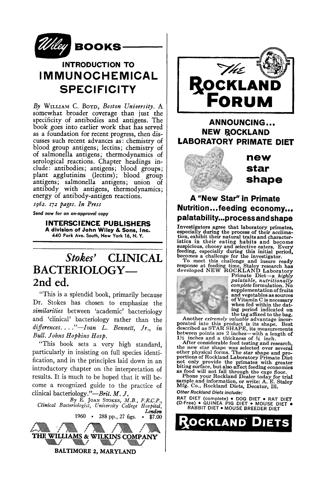

### **INTRODUCTION TO IMMUNOCHEMICAL SPECIFICITY**

*By* WILLIAM C. BOYD, *Boston University. A*  somewhat broader coverage than just the specificity of antibodies and antigens. The book goes into earlier work that has served as a foundation for recent progress, then discusses such recent advances as: chemistry of blood group antigens; lectins; chemistry **of**  of salmonella antigens; thermodynamics of serological reactions. Chapter headings include: antibodies; antigens; blood groups; plant agglutinins (lectins); blood group antigens; salmonella antigens; union of antibody with antigens, thermodynamics; energy of antibody-antigen reactions.

*s962. z72 pages. In Press* 

*Send* **now for on** *on-approval cop),* 

**INTERSCIENCE PUBLISHERS A division of John Wiley &, Sons, Inc. 440 Park Ave. South, New York 16, N. Y.** 

## *Stokes'* **CLINICAL**  BACTERIOLOGY-**2nd ed.**

"This is a splendid book, primarily because Dr. Stokes has chosen to emphasize the *similarities* between 'academic' bacteriology and 'clinical' bacteriology rather than the *differences .... "--Ivan L. Bennett, Jr., in Bull. Johns Hopkins Hosp.* 

"This book sets a very high standard, particularly in insisting on full species identification, and in the principles laid down in an introductory chapter on the interpretation of results. It is much to be hoped that it will become a recognized guide to the practice of clinical *bacteriology."--Brit. M. J.* 

*By* E. JOAN STOKES, *M.B., F.R.C.P., Clinical Bacteriologist, University College Hospital, London*  1960 • 288 pp., 27 figs.





**ANNOUNCING,.. NEW ROCKLAND LABORATORY PRIMATE DIET** 



**new star shape** 

#### **A "New Star" in Primate Nutrition.,.feeding economy,,• palatabil ity...p rocess and shape**

Investigators agree that laboratory primates,<br>especially during the process of their acclimates,<br>tion, exhibit their natural traits and character-<br>istics in their eating habits and become<br>suspicious, choosy and selective



supplementation of fruits<br>and vegetables as sources of Vitamin C is necessary when fed within the dat-<br>ing period indicated on

mg period indicated on<br>the tag affixed to the bag.<br>Another *extremely valuable* advantage incorporated into this product is its shape. Best described as STAR SHAPE, its measurements<br>between points are 2 inches—with a length of<br> $1\frac{1}{2}$  inches and a thickness of  $\frac{3}{4}$  inch.

After considerable feed testing and research,<br>the new star shape was selected over several<br>other physical forms. The star shape and pro-<br>portions of Rockland Laboratory Primate Diet<br>not only provide the primates with great

*Other Rockland Diets include:* 

RAT DIET (complete) • DOG DIET • RAT DIET (D-Free) • GUINEA PIG DIET • MOUSE DIET • RABBIT DIET • MOUSE BREEDER DIET